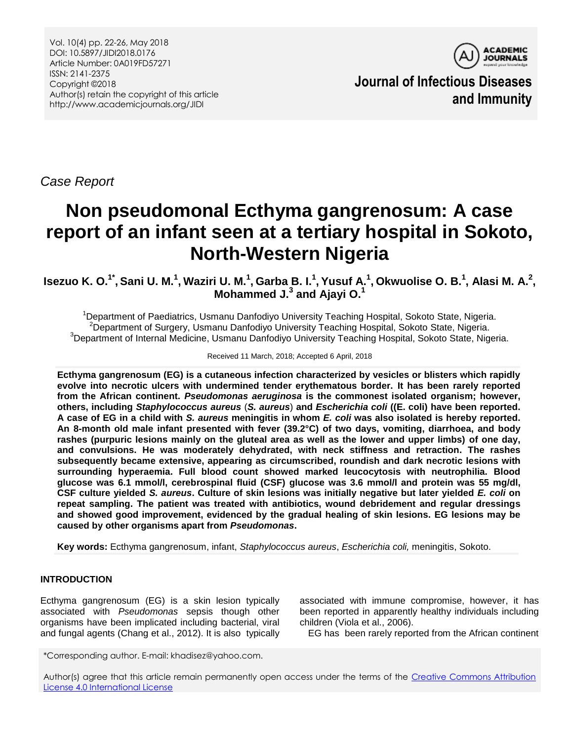

**Journal of Infectious Diseases and Immunity**

*Case Report*

# **Non pseudomonal Ecthyma gangrenosum: A case report of an infant seen at a tertiary hospital in Sokoto, North-Western Nigeria**

Isezuo K. O. $^{1^*}$ , Sani U. M. $^1$ , Waziri U. M. $^1$ , Garba B. I. $^1$ , Yusuf A. $^1$ , Okwuolise O. B. $^1$ , Alasi M. A. $^2$ , **Mohammed J. 3 and Ajayi O. 1**

<sup>1</sup>Department of Paediatrics, Usmanu Danfodiyo University Teaching Hospital, Sokoto State, Nigeria.  $2$ Department of Surgery, Usmanu Danfodiyo University Teaching Hospital, Sokoto State, Nigeria. <sup>3</sup>Department of Internal Medicine, Usmanu Danfodiyo University Teaching Hospital, Sokoto State, Nigeria.

#### Received 11 March, 2018; Accepted 6 April, 2018

**Ecthyma gangrenosum (EG) is a cutaneous infection characterized by vesicles or blisters which rapidly evolve into necrotic ulcers with undermined tender erythematous border. It has been rarely reported from the African continent.** *Pseudomonas aeruginosa* **is the commonest isolated organism; however, others, including** *Staphylococcus aureus* (*S. aureus*) **and** *Escherichia coli* **((E. coli) have been reported. A case of EG in a child with** *S. aureus* **meningitis in whom** *E. coli* **was also isolated is hereby reported. An 8-month old male infant presented with fever (39.2°C) of two days, vomiting, diarrhoea, and body rashes (purpuric lesions mainly on the gluteal area as well as the lower and upper limbs) of one day, and convulsions. He was moderately dehydrated, with neck stiffness and retraction. The rashes subsequently became extensive, appearing as circumscribed, roundish and dark necrotic lesions with surrounding hyperaemia. Full blood count showed marked leucocytosis with neutrophilia. Blood glucose was 6.1 mmol/l, cerebrospinal fluid (CSF) glucose was 3.6 mmol/l and protein was 55 mg/dl, CSF culture yielded** *S. aureus***. Culture of skin lesions was initially negative but later yielded** *E. coli* **on repeat sampling. The patient was treated with antibiotics, wound debridement and regular dressings and showed good improvement, evidenced by the gradual healing of skin lesions. EG lesions may be caused by other organisms apart from** *Pseudomonas***.**

**Key words:** Ecthyma gangrenosum, infant, *Staphylococcus aureus*, *Escherichia coli,* meningitis, Sokoto.

# **INTRODUCTION**

Ecthyma gangrenosum (EG) is a skin lesion typically associated with *Pseudomonas* sepsis though other organisms have been implicated including bacterial, viral and fungal agents (Chang et al., 2012). It is also typically

associated with immune compromise, however, it has been reported in apparently healthy individuals including children (Viola et al., 2006).

EG has been rarely reported from the African continent

\*Corresponding author. E-mail: khadisez@yahoo.com.

Author(s) agree that this article remain permanently open access under the terms of the [Creative Commons Attribution](http://creativecommons.org/licenses/by/4.0/deed.en_US)  [License 4.0 International License](http://creativecommons.org/licenses/by/4.0/deed.en_US)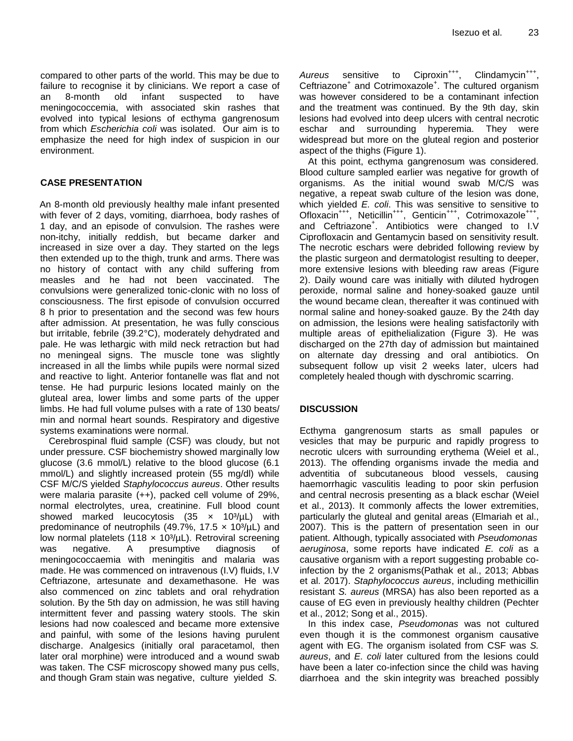compared to other parts of the world. This may be due to failure to recognise it by clinicians. We report a case of an 8-month old infant suspected to have meningococcemia, with associated skin rashes that evolved into typical lesions of ecthyma gangrenosum from which *Escherichia coli* was isolated. Our aim is to emphasize the need for high index of suspicion in our environment.

## **CASE PRESENTATION**

An 8-month old previously healthy male infant presented with fever of 2 days, vomiting, diarrhoea, body rashes of 1 day, and an episode of convulsion. The rashes were non-itchy, initially reddish, but became darker and increased in size over a day. They started on the legs then extended up to the thigh, trunk and arms. There was no history of contact with any child suffering from measles and he had not been vaccinated. The convulsions were generalized tonic-clonic with no loss of consciousness. The first episode of convulsion occurred 8 h prior to presentation and the second was few hours after admission. At presentation, he was fully conscious but irritable, febrile (39.2°C), moderately dehydrated and pale. He was lethargic with mild neck retraction but had no meningeal signs. The muscle tone was slightly increased in all the limbs while pupils were normal sized and reactive to light. Anterior fontanelle was flat and not tense. He had purpuric lesions located mainly on the gluteal area, lower limbs and some parts of the upper limbs. He had full volume pulses with a rate of 130 beats/ min and normal heart sounds. Respiratory and digestive systems examinations were normal.

Cerebrospinal fluid sample (CSF) was cloudy, but not under pressure. CSF biochemistry showed marginally low glucose (3.6 mmol/L) relative to the blood glucose (6.1 mmol/L) and slightly increased protein (55 mg/dl) while CSF M/C/S yielded *Staphylococcus aureus*. Other results were malaria parasite (++), packed cell volume of 29%, normal electrolytes, urea, creatinine. Full blood count showed marked leucocytosis (35  $\times$  10<sup>3</sup>/µL) with predominance of neutrophils (49.7%, 17.5  $\times$  10<sup>3</sup>/µL) and low normal platelets (118  $\times$  10<sup>3</sup>/µL). Retroviral screening was negative. A presumptive diagnosis of meningococcaemia with meningitis and malaria was made. He was commenced on intravenous (I.V) fluids, I.V Ceftriazone, artesunate and dexamethasone. He was also commenced on zinc tablets and oral rehydration solution. By the 5th day on admission, he was still having intermittent fever and passing watery stools. The skin lesions had now coalesced and became more extensive and painful, with some of the lesions having purulent discharge. Analgesics (initially oral paracetamol, then later oral morphine) were introduced and a wound swab was taken. The CSF microscopy showed many pus cells, and though Gram stain was negative, culture yielded *S.*

Aureus sensitive to Ciproxin<sup>+++</sup>, , Clindamycin<sup>+++</sup>, Ceftriazone<sup>+</sup> and Cotrimoxazole<sup>+</sup>. The cultured organism was however considered to be a contaminant infection and the treatment was continued. By the 9th day, skin lesions had evolved into deep ulcers with central necrotic eschar and surrounding hyperemia. They were widespread but more on the gluteal region and posterior aspect of the thighs (Figure 1).

At this point, ecthyma gangrenosum was considered. Blood culture sampled earlier was negative for growth of organisms. As the initial wound swab M/C/S was negative, a repeat swab culture of the lesion was done, which yielded *E. coli*. This was sensitive to sensitive to Ofloxacin<sup>+++</sup>, Neticillin<sup>+++</sup>, Genticin<sup>+++</sup>, Cotrimoxazole<sup>+++</sup>, and Ceftriazone<sup>+</sup> . Antibiotics were changed to I.V Ciprofloxacin and Gentamycin based on sensitivity result. The necrotic eschars were debrided following review by the plastic surgeon and dermatologist resulting to deeper, more extensive lesions with bleeding raw areas (Figure 2). Daily wound care was initially with diluted hydrogen peroxide, normal saline and honey-soaked gauze until the wound became clean, thereafter it was continued with normal saline and honey-soaked gauze. By the 24th day on admission, the lesions were healing satisfactorily with multiple areas of epithelialization (Figure 3). He was discharged on the 27th day of admission but maintained on alternate day dressing and oral antibiotics. On subsequent follow up visit 2 weeks later, ulcers had completely healed though with dyschromic scarring.

## **DISCUSSION**

Ecthyma gangrenosum starts as small papules or vesicles that may be purpuric and rapidly progress to necrotic ulcers with surrounding erythema (Weiel et al., 2013). The offending organisms invade the media and adventitia of subcutaneous blood vessels, causing haemorrhagic vasculitis leading to poor skin perfusion and central necrosis presenting as a black eschar (Weiel et al., 2013). It commonly affects the lower extremities, particularly the gluteal and genital areas (Elmariah et al., 2007). This is the pattern of presentation seen in our patient. Although, typically associated with *Pseudomonas aeruginosa*, some reports have indicated *E. coli* as a causative organism with a report suggesting probable coinfection by the 2 organisms(Pathak et al., 2013; Abbas et al. 2017). *Staphylococcus aureus*, including methicillin resistant *S. aureus* (MRSA) has also been reported as a cause of EG even in previously healthy children (Pechter et al., 2012; Song et al., 2015).

In this index case, *Pseudomonas* was not cultured even though it is the commonest organism causative agent with EG. The organism isolated from CSF was *S. aureus*, and *E. coli* later cultured from the lesions could have been a later co-infection since the child was having diarrhoea and the skin integrity was breached possibly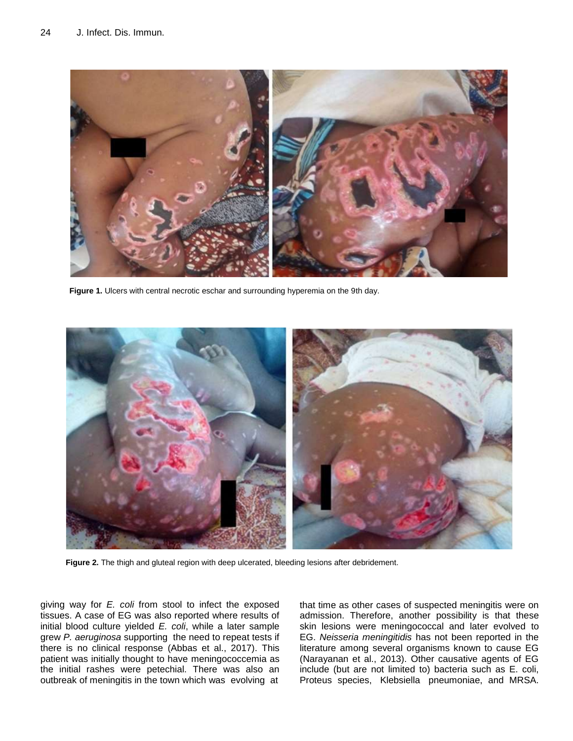

**Figure 1.** Ulcers with central necrotic eschar and surrounding hyperemia on the 9th day.



**Figure 2.** The thigh and gluteal region with deep ulcerated, bleeding lesions after debridement.

giving way for *E. coli* from stool to infect the exposed tissues. A case of EG was also reported where results of initial blood culture yielded *E. coli*, while a later sample grew *P. aeruginosa* supporting the need to repeat tests if there is no clinical response (Abbas et al., 2017). This patient was initially thought to have meningococcemia as the initial rashes were petechial. There was also an outbreak of meningitis in the town which was evolving at

that time as other cases of suspected meningitis were on admission. Therefore, another possibility is that these skin lesions were meningococcal and later evolved to EG. *Neisseria meningitidis* has not been reported in the literature among several organisms known to cause EG (Narayanan et al., 2013). Other causative agents of EG include (but are not limited to) bacteria such as E. coli, Proteus species, Klebsiella pneumoniae, and MRSA.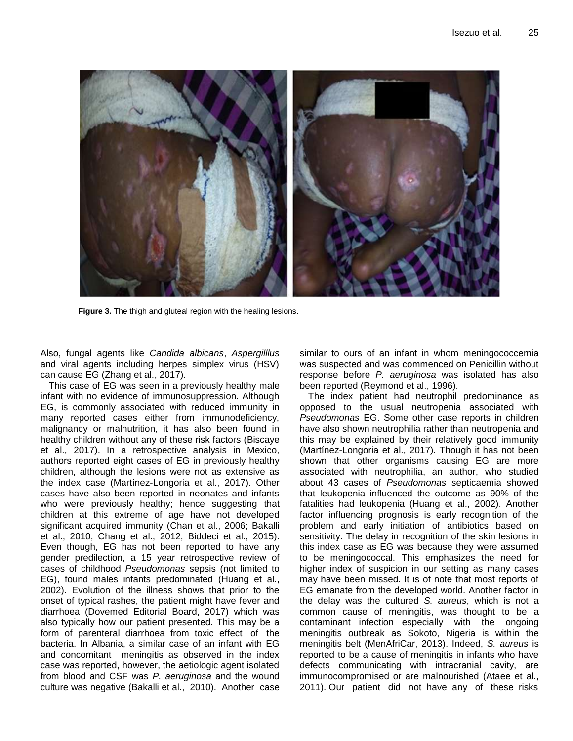

**Figure 3.** The thigh and gluteal region with the healing lesions.

Also, fungal agents like *Candida albicans*, *Aspergilllus* and viral agents including herpes simplex virus (HSV) can cause EG (Zhang et al., 2017).

This case of EG was seen in a previously healthy male infant with no evidence of immunosuppression. Although EG, is commonly associated with reduced immunity in many reported cases either from immunodeficiency, malignancy or malnutrition, it has also been found in healthy children without any of these risk factors (Biscaye et al., 2017). In a retrospective analysis in Mexico, authors reported eight cases of EG in previously healthy children, although the lesions were not as extensive as the index case (Martínez-Longoria et al., 2017). Other cases have also been reported in neonates and infants who were previously healthy; hence suggesting that children at this extreme of age have not developed significant acquired immunity (Chan et al., 2006; Bakalli et al., 2010; Chang et al., 2012; Biddeci et al., 2015). Even though, EG has not been reported to have any gender predilection, a 15 year retrospective review of cases of childhood *Pseudomonas* sepsis (not limited to EG), found males infants predominated (Huang et al., 2002). Evolution of the illness shows that prior to the onset of typical rashes, the patient might have fever and diarrhoea (Dovemed Editorial Board, 2017) which was also typically how our patient presented. This may be a form of parenteral diarrhoea from toxic effect of the bacteria. In Albania, a similar case of an infant with EG and concomitant meningitis as observed in the index case was reported, however, the aetiologic agent isolated from blood and CSF was *P. aeruginosa* and the wound culture was negative (Bakalli et al., 2010). Another case

similar to ours of an infant in whom meningococcemia was suspected and was commenced on Penicillin without response before *P. aeruginosa* was isolated has also been reported (Reymond et al., 1996).

The index patient had neutrophil predominance as opposed to the usual neutropenia associated with *Pseudomonas* EG. Some other case reports in children have also shown neutrophilia rather than neutropenia and this may be explained by their relatively good immunity (Martínez-Longoria et al., 2017). Though it has not been shown that other organisms causing EG are more associated with neutrophilia, an author, who studied about 43 cases of *Pseudomonas* septicaemia showed that leukopenia influenced the outcome as 90% of the fatalities had leukopenia (Huang et al., 2002). Another factor influencing prognosis is early recognition of the problem and early initiation of antibiotics based on sensitivity. The delay in recognition of the skin lesions in this index case as EG was because they were assumed to be meningococcal. This emphasizes the need for higher index of suspicion in our setting as many cases may have been missed. It is of note that most reports of EG emanate from the developed world. Another factor in the delay was the cultured *S. aureus*, which is not a common cause of meningitis, was thought to be a contaminant infection especially with the ongoing meningitis outbreak as Sokoto, Nigeria is within the meningitis belt (MenAfriCar, 2013). Indeed, *S. aureus* is reported to be a cause of meningitis in infants who have defects communicating with intracranial cavity, are immunocompromised or are malnourished (Ataee et al., 2011). Our patient did not have any of these risks